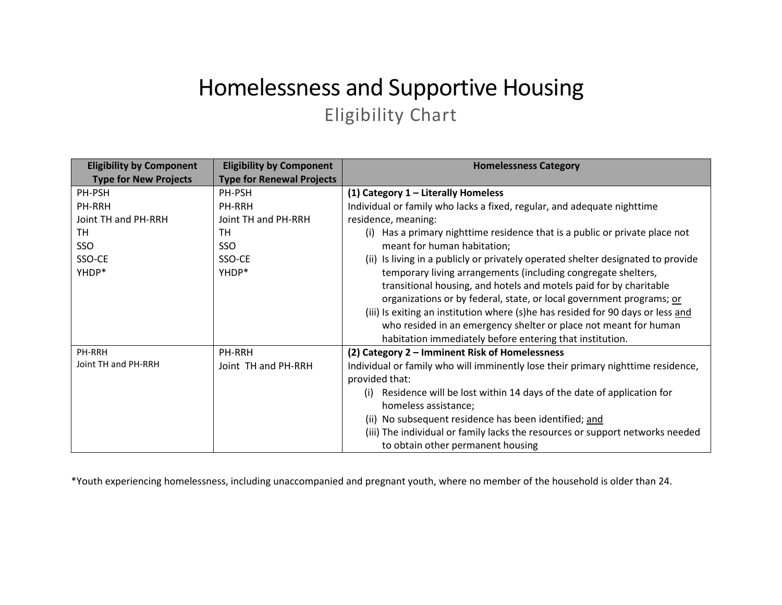## Homelessness and Supportive Housing Eligibility Chart

| <b>Eligibility by Component</b> | <b>Eligibility by Component</b>  | <b>Homelessness Category</b>                                                     |
|---------------------------------|----------------------------------|----------------------------------------------------------------------------------|
| <b>Type for New Projects</b>    | <b>Type for Renewal Projects</b> |                                                                                  |
| PH-PSH                          | PH-PSH                           | (1) Category $1$ – Literally Homeless                                            |
| PH-RRH                          | <b>PH-RRH</b>                    | Individual or family who lacks a fixed, regular, and adequate nighttime          |
| Joint TH and PH-RRH             | Joint TH and PH-RRH              | residence, meaning:                                                              |
| TH                              | <b>TH</b>                        | (i) Has a primary nighttime residence that is a public or private place not      |
| SSO                             | SSO                              | meant for human habitation;                                                      |
| SSO-CE                          | SSO-CE                           | (ii) Is living in a publicly or privately operated shelter designated to provide |
| YHDP*                           | YHDP*                            | temporary living arrangements (including congregate shelters,                    |
|                                 |                                  | transitional housing, and hotels and motels paid for by charitable               |
|                                 |                                  | organizations or by federal, state, or local government programs; or             |
|                                 |                                  | (iii) Is exiting an institution where (s)he has resided for 90 days or less and  |
|                                 |                                  | who resided in an emergency shelter or place not meant for human                 |
|                                 |                                  | habitation immediately before entering that institution.                         |
| PH-RRH                          | PH-RRH                           | (2) Category 2 - Imminent Risk of Homelessness                                   |
| Joint TH and PH-RRH             | Joint TH and PH-RRH              | Individual or family who will imminently lose their primary nighttime residence, |
|                                 |                                  | provided that:                                                                   |
|                                 |                                  | Residence will be lost within 14 days of the date of application for<br>(i)      |
|                                 |                                  | homeless assistance;                                                             |
|                                 |                                  | (ii) No subsequent residence has been identified; and                            |
|                                 |                                  | (iii) The individual or family lacks the resources or support networks needed    |
|                                 |                                  | to obtain other permanent housing                                                |

\*Youth experiencing homelessness, including unaccompanied and pregnant youth, where no member of the household is older than 24.